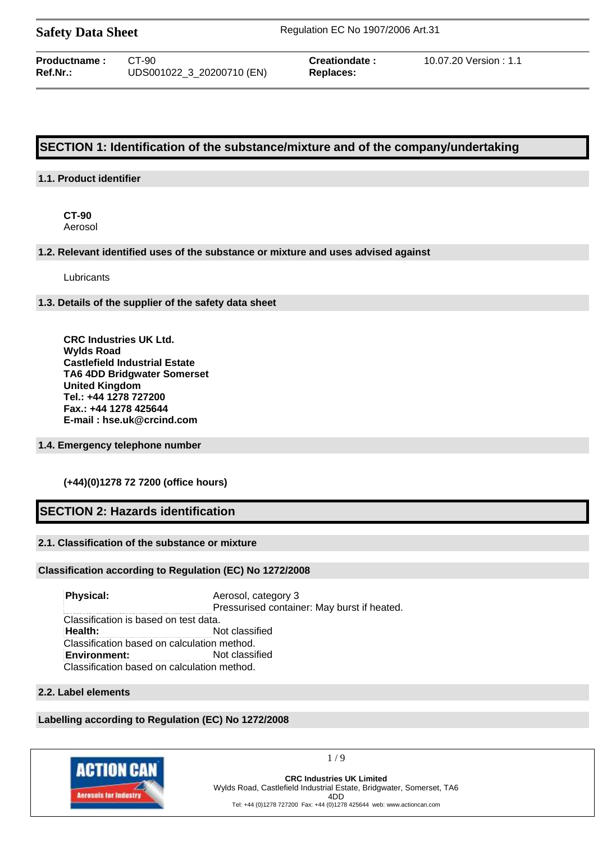| <b>Safety Data Sheet</b> |  |  |
|--------------------------|--|--|
|--------------------------|--|--|

**Safety Data Sheet** Regulation EC No 1907/2006 Art.31

| <b>Productname :</b> | CT-90                     |
|----------------------|---------------------------|
| Ref.Nr.:             | UDS001022_3_20200710 (EN) |

 $Replaces:$ 

**Creationdate :** 10.07.20 Version : 1.1

# **SECTION 1: Identification of the substance/mixture and of the company/undertaking**

### **1.1. Product identifier**

**CT-90** Aerosol

### **1.2. Relevant identified uses of the substance or mixture and uses advised against**

Lubricants

### **1.3. Details of the supplier of the safety data sheet**

**CRC Industries UK Ltd. Wylds Road Castlefield Industrial Estate TA6 4DD Bridgwater Somerset United Kingdom Tel.: +44 1278 727200 Fax.: +44 1278 425644 E-mail : hse.uk@crcind.com**

### **1.4. Emergency telephone number**

### **(+44)(0)1278 72 7200 (office hours)**

# **SECTION 2: Hazards identification**

### **2.1. Classification of the substance or mixture**

### **Classification according to Regulation (EC) No 1272/2008**

**Physical:** Aerosol, category 3 Pressurised container: May burst if heated. Classification is based on test data. **Health:** Not classified Classification based on calculation method. **Environment:** Not classified Classification based on calculation method.

### **2.2. Label elements**

# **Labelling according to Regulation (EC) No 1272/2008**



1 / 9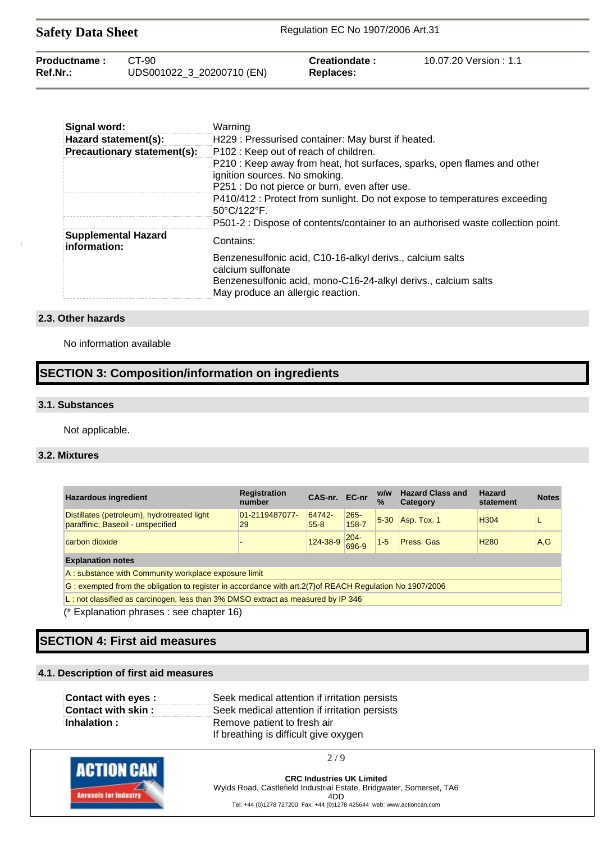| <b>Safety Data Sheet</b>    |                                    | Regulation EC No 1907/2006 Art.31 |                        |  |
|-----------------------------|------------------------------------|-----------------------------------|------------------------|--|
| Productname:<br>$Ref.Nr.$ : | CT-90<br>UDS001022_3_20200710 (EN) | Creationdate:<br>Replaces:        | 10.07.20 Version : 1.1 |  |

| Signal word:                               | Warning                                                                                                  |
|--------------------------------------------|----------------------------------------------------------------------------------------------------------|
| Hazard statement(s):                       | H229 : Pressurised container: May burst if heated.                                                       |
| Precautionary statement(s):                | P102 : Keep out of reach of children.                                                                    |
|                                            | P210 : Keep away from heat, hot surfaces, sparks, open flames and other<br>ignition sources. No smoking. |
|                                            | P251 : Do not pierce or burn, even after use.                                                            |
|                                            | P410/412 : Protect from sunlight. Do not expose to temperatures exceeding<br>50°C/122°F.                 |
|                                            | P501-2 : Dispose of contents/container to an authorised waste collection point.                          |
| <b>Supplemental Hazard</b><br>information: | Contains:                                                                                                |
|                                            | Benzenesulfonic acid, C10-16-alkyl derivs., calcium salts<br>calcium sulfonate                           |
|                                            | Benzenesulfonic acid, mono-C16-24-alkyl derivs., calcium salts<br>May produce an allergic reaction.      |

### **2.3. Other hazards**

No information available

# **SECTION 3: Composition/information on ingredients**

### **3.1. Substances**

Not applicable.

# **3.2. Mixtures**

| <b>Hazardous ingredient</b>                                                                               | <b>Registration</b><br>number | CAS-nr. EC-nr      |                  | w/w<br>$\%$ | <b>Hazard Class and</b><br>Category | <b>Hazard</b><br>statement | <b>Notes</b> |
|-----------------------------------------------------------------------------------------------------------|-------------------------------|--------------------|------------------|-------------|-------------------------------------|----------------------------|--------------|
| Distillates (petroleum), hydrotreated light<br>paraffinic; Baseoil - unspecified                          | 01-2119487077-<br>29          | 64742-<br>$55 - 8$ | $265 -$<br>158-7 | $5-30$      | Asp. Tox. 1                         | H <sub>304</sub>           |              |
| carbon dioxide                                                                                            |                               | 124-38-9           | $204 -$<br>696-9 | $1 - 5$     | Press, Gas                          | H <sub>280</sub>           | A, G         |
| <b>Explanation notes</b>                                                                                  |                               |                    |                  |             |                                     |                            |              |
| A: substance with Community workplace exposure limit                                                      |                               |                    |                  |             |                                     |                            |              |
| G: exempted from the obligation to register in accordance with art. 2(7) of REACH Regulation No 1907/2006 |                               |                    |                  |             |                                     |                            |              |
| L: not classified as carcinogen, less than 3% DMSO extract as measured by IP 346                          |                               |                    |                  |             |                                     |                            |              |

(\* Explanation phrases : see chapter 16)

# **SECTION 4: First aid measures**

# **4.1. Description of first aid measures**

| Contact with eyes : | Seek medical attention if irritation persists |
|---------------------|-----------------------------------------------|
| Contact with skin:  | Seek medical attention if irritation persists |
| Inhalation:         | Remove patient to fresh air                   |
|                     | If breathing is difficult give oxygen         |



2 / 9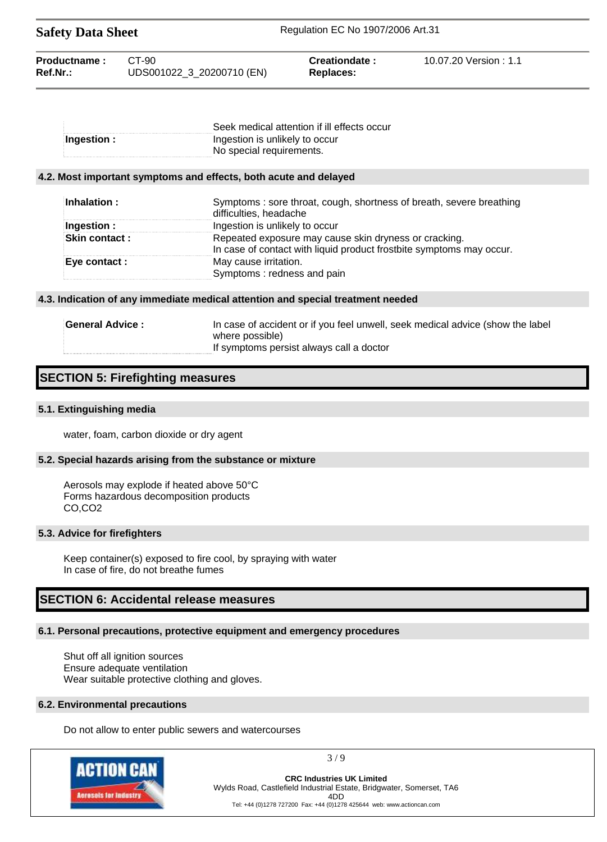| <b>Safety Data Sheet</b>    |                                    | Regulation EC No 1907/2006 Art.31 |                       |  |
|-----------------------------|------------------------------------|-----------------------------------|-----------------------|--|
| Productname:<br>$Ref.Nr.$ : | CT-90<br>UDS001022_3_20200710 (EN) | Creationdate:<br>Replaces:        | 10.07.20 Version: 1.1 |  |

|             | Seek medical attention if ill effects occur |
|-------------|---------------------------------------------|
| Ingestion : | Ingestion is unlikely to occur              |
|             | No special requirements.                    |

### **4.2. Most important symptoms and effects, both acute and delayed**

| Inhalation:          | Symptoms: sore throat, cough, shortness of breath, severe breathing<br>difficulties, headache                                 |
|----------------------|-------------------------------------------------------------------------------------------------------------------------------|
| Ingestion :          | Ingestion is unlikely to occur                                                                                                |
| <b>Skin contact:</b> | Repeated exposure may cause skin dryness or cracking.<br>In case of contact with liquid product frostbite symptoms may occur. |
| Eye contact :        | May cause irritation.<br>Symptoms: redness and pain                                                                           |

### **4.3. Indication of any immediate medical attention and special treatment needed**

| <b>General Advice :</b> | In case of accident or if you feel unwell, seek medical advice (show the label |
|-------------------------|--------------------------------------------------------------------------------|
|                         | where possible)                                                                |
|                         | If symptoms persist always call a doctor                                       |

# **SECTION 5: Firefighting measures**

### **5.1. Extinguishing media**

water, foam, carbon dioxide or dry agent

### **5.2. Special hazards arising from the substance or mixture**

Aerosols may explode if heated above 50°C Forms hazardous decomposition products CO,CO2

### **5.3. Advice for firefighters**

Keep container(s) exposed to fire cool, by spraying with water In case of fire, do not breathe fumes

# **SECTION 6: Accidental release measures**

# **6.1. Personal precautions, protective equipment and emergency procedures**

Shut off all ignition sources Ensure adequate ventilation Wear suitable protective clothing and gloves.

### **6.2. Environmental precautions**

Do not allow to enter public sewers and watercourses



3 / 9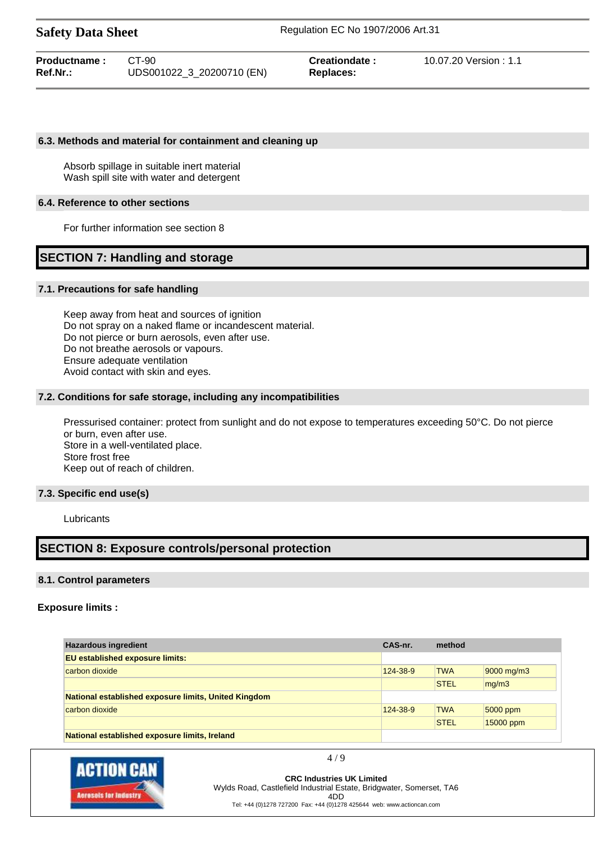**Safety Data Sheet** Regulation EC No 1907/2006 Art.31

| Productname: | CT-90                     | Creationdate: | 10.07.20 Version: 1.1 |
|--------------|---------------------------|---------------|-----------------------|
| Ref.Nr.:     | UDS001022 3 20200710 (EN) | Replaces:     |                       |

### **6.3. Methods and material for containment and cleaning up**

Absorb spillage in suitable inert material Wash spill site with water and detergent

### **6.4. Reference to other sections**

For further information see section 8

# **SECTION 7: Handling and storage**

### **7.1. Precautions for safe handling**

Keep away from heat and sources of ignition Do not spray on a naked flame or incandescent material. Do not pierce or burn aerosols, even after use. Do not breathe aerosols or vapours. Ensure adequate ventilation Avoid contact with skin and eyes.

### **7.2. Conditions for safe storage, including any incompatibilities**

Pressurised container: protect from sunlight and do not expose to temperatures exceeding 50°C. Do not pierce or burn, even after use. Store in a well-ventilated place. Store frost free Keep out of reach of children.

### **7.3. Specific end use(s)**

Lubricants

# **SECTION 8: Exposure controls/personal protection**

### **8.1. Control parameters**

### **Exposure limits :**

| <b>Hazardous ingredient</b>                          | CAS-nr.<br>method |             |            |
|------------------------------------------------------|-------------------|-------------|------------|
| <b>EU established exposure limits:</b>               |                   |             |            |
| carbon dioxide                                       | 124-38-9          | <b>TWA</b>  | 9000 mg/m3 |
|                                                      |                   | <b>STEL</b> | mq/m3      |
| National established exposure limits, United Kingdom |                   |             |            |
| carbon dioxide                                       | 124-38-9          | <b>TWA</b>  | 5000 ppm   |
|                                                      |                   | <b>STEL</b> | 15000 ppm  |
| National established exposure limits, Ireland        |                   |             |            |



4 / 9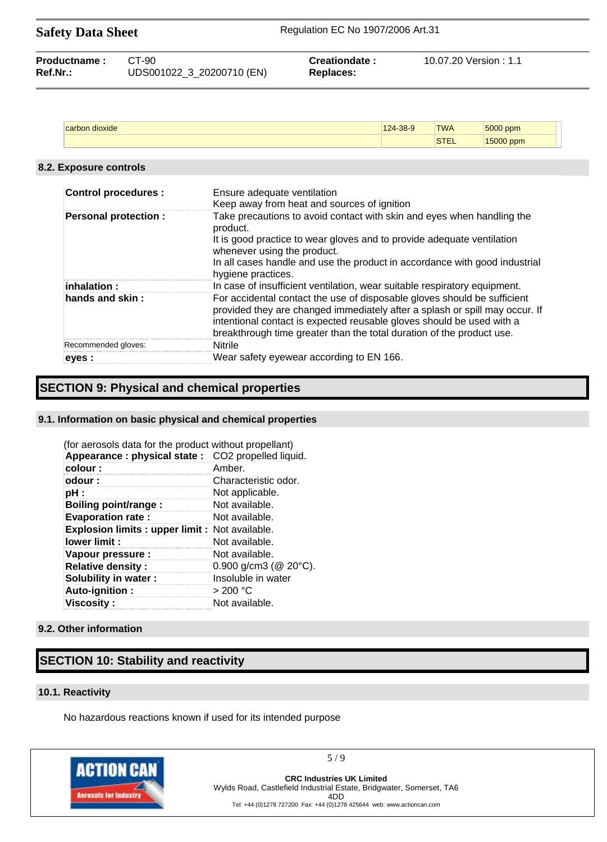| <b>Safety Data Sheet</b> |  |
|--------------------------|--|
|--------------------------|--|

| <b>Productname:</b> | CT-90                     | Creationdate: | 10.07.20 Version : 1.1 |
|---------------------|---------------------------|---------------|------------------------|
| Ref.Nr.:            | UDS001022_3_20200710 (EN) | Replaces:     |                        |

| лохіче | 200    | <b>TWA</b> | <b>EOOO</b> |
|--------|--------|------------|-------------|
| ັ      | $\sim$ |            | ppm         |
|        |        | $-1$       | - -<br>opm. |

### **8.2. Exposure controls**

| <b>Control procedures:</b>  | Ensure adequate ventilation<br>Keep away from heat and sources of ignition                                                                                                                                                                                                                                |
|-----------------------------|-----------------------------------------------------------------------------------------------------------------------------------------------------------------------------------------------------------------------------------------------------------------------------------------------------------|
| <b>Personal protection:</b> | Take precautions to avoid contact with skin and eyes when handling the<br>product.<br>It is good practice to wear gloves and to provide adequate ventilation                                                                                                                                              |
|                             | whenever using the product.<br>In all cases handle and use the product in accordance with good industrial<br>hygiene practices.                                                                                                                                                                           |
| inhalation :                | In case of insufficient ventilation, wear suitable respiratory equipment.                                                                                                                                                                                                                                 |
| hands and skin $\colon$     | For accidental contact the use of disposable gloves should be sufficient<br>provided they are changed immediately after a splash or spill may occur. If<br>intentional contact is expected reusable gloves should be used with a<br>breakthrough time greater than the total duration of the product use. |
| Recommended gloves:         | <b>Nitrile</b>                                                                                                                                                                                                                                                                                            |
| eyes :                      | Wear safety eyewear according to EN 166.                                                                                                                                                                                                                                                                  |

# **SECTION 9: Physical and chemical properties**

### **9.1. Information on basic physical and chemical properties**

| (for aerosols data for the product without propellant) |                              |
|--------------------------------------------------------|------------------------------|
| Appearance: physical state: CO2 propelled liquid.      |                              |
| colour:                                                | Amber.                       |
| odour:                                                 | Characteristic odor.         |
| pH :                                                   | Not applicable.              |
| Boiling point/range:                                   | Not available.               |
| <b>Evaporation rate:</b>                               | Not available.               |
| <b>Explosion limits: upper limit: Not available.</b>   |                              |
| lower limit:                                           | Not available.               |
| Vapour pressure :                                      | Not available.               |
| <b>Relative density:</b>                               | 0.900 g/cm3 ( $@$ 20 $°C$ ). |
| Solubility in water:                                   | Insoluble in water           |
| Auto-ignition:                                         | > 200 °C                     |
| <b>Viscosity :</b>                                     | Not available.               |

### **9.2. Other information**

# **SECTION 10: Stability and reactivity**

### **10.1. Reactivity**

No hazardous reactions known if used for its intended purpose



5 / 9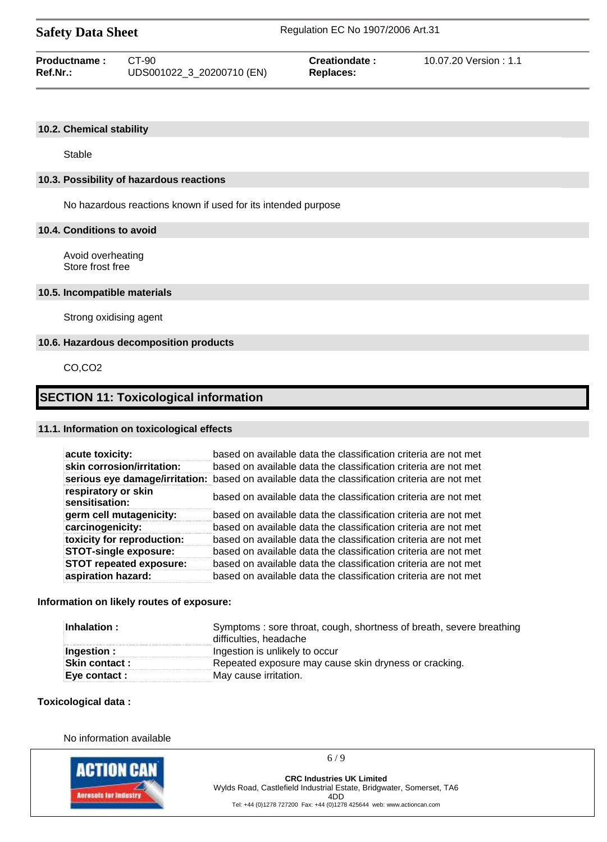| <b>Safety Data Sheet</b> |  |  |
|--------------------------|--|--|
|--------------------------|--|--|

| <b>Productname:</b> | CT-90                     | <b>Creationdate:</b> | 10.07.20 Version : 1.1 |
|---------------------|---------------------------|----------------------|------------------------|
| Ref.Nr.:            | UDS001022_3_20200710 (EN) | Replaces:            |                        |

### **10.2. Chemical stability**

Stable

### **10.3. Possibility of hazardous reactions**

No hazardous reactions known if used for its intended purpose

### **10.4. Conditions to avoid**

Avoid overheating Store frost free

### **10.5. Incompatible materials**

Strong oxidising agent

### **10.6. Hazardous decomposition products**

CO,CO2

# **SECTION 11: Toxicological information**

### **11.1. Information on toxicological effects**

| acute toxicity:                       | based on available data the classification criteria are not met                                |
|---------------------------------------|------------------------------------------------------------------------------------------------|
| skin corrosion/irritation:            | based on available data the classification criteria are not met                                |
|                                       | serious eye damage/irritation: based on available data the classification criteria are not met |
| respiratory or skin<br>sensitisation: | based on available data the classification criteria are not met                                |
| germ cell mutagenicity:               | based on available data the classification criteria are not met                                |
| carcinogenicity:                      | based on available data the classification criteria are not met                                |
| toxicity for reproduction:            | based on available data the classification criteria are not met                                |
| <b>STOT-single exposure:</b>          | based on available data the classification criteria are not met                                |
| <b>STOT repeated exposure:</b>        | based on available data the classification criteria are not met                                |
| aspiration hazard:                    | based on available data the classification criteria are not met                                |

### **Information on likely routes of exposure:**

| Inhalation :         | Symptoms: sore throat, cough, shortness of breath, severe breathing<br>difficulties, headache |  |
|----------------------|-----------------------------------------------------------------------------------------------|--|
| Ingestion:           | Ingestion is unlikely to occur                                                                |  |
| <b>Skin contact:</b> | Repeated exposure may cause skin dryness or cracking.                                         |  |
| Eye contact :        | May cause irritation.                                                                         |  |

### **Toxicological data :**

No information available



**CRC Industries UK Limited** Wylds Road, Castlefield Industrial Estate, Bridgwater, Somerset, TA6 4DD

6 / 9

Tel: +44 (0)1278 727200 Fax: +44 (0)1278 425644 web: www.actioncan.com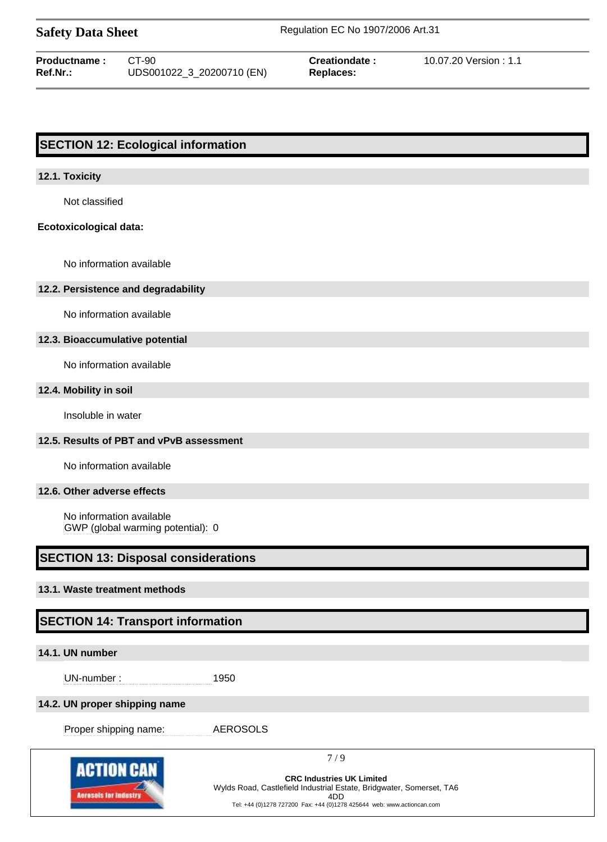| <b>Safety Data Sheet</b> |  |  |
|--------------------------|--|--|
|--------------------------|--|--|

**Safety Data Sheet** Regulation EC No 1907/2006 Art.31

| Productname: | CT-90                     | <b>Creationdate:</b> | 10.07.20 Version : 1.1 |
|--------------|---------------------------|----------------------|------------------------|
| Ref.Nr.:     | UDS001022_3_20200710 (EN) | Replaces:            |                        |

# **SECTION 12: Ecological information**

### **12.1. Toxicity**

Not classified

### **Ecotoxicological data:**

No information available

### **12.2. Persistence and degradability**

No information available

### **12.3. Bioaccumulative potential**

No information available

### **12.4. Mobility in soil**

Insoluble in water

# **12.5. Results of PBT and vPvB assessment**

No information available

### **12.6. Other adverse effects**

No information available GWP (global warming potential): 0

# **SECTION 13: Disposal considerations**

# **13.1. Waste treatment methods**

# **SECTION 14: Transport information**

### **14.1. UN number**

UN-number : 1950

### **14.2. UN proper shipping name**

Proper shipping name: AEROSOLS

**ACTION CAN Acresols for Indust** 

7 / 9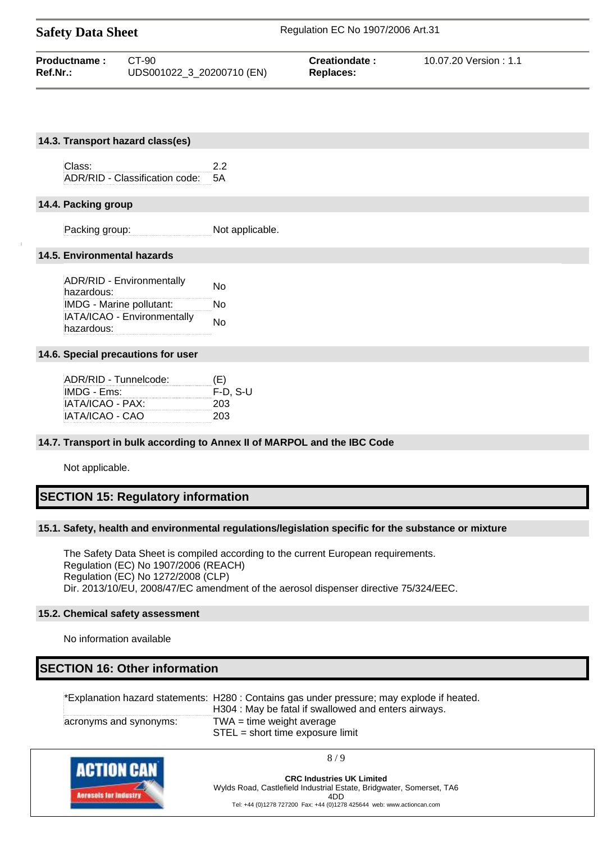| <b>Safety Data Sheet</b> |                           | Regulation EC No 1907/2006 Art.31 |                       |  |
|--------------------------|---------------------------|-----------------------------------|-----------------------|--|
| Productname:             | CT-90                     | Creationdate:                     | 10.07.20 Version: 1.1 |  |
| Ref.Nr.:                 | UDS001022_3_20200710 (EN) | Replaces:                         |                       |  |

|                             | 14.3. Transport hazard class(es)   |                 |  |  |  |  |  |
|-----------------------------|------------------------------------|-----------------|--|--|--|--|--|
|                             |                                    |                 |  |  |  |  |  |
|                             | Class:                             | 2.2             |  |  |  |  |  |
|                             | ADR/RID - Classification code: 5A  |                 |  |  |  |  |  |
|                             |                                    |                 |  |  |  |  |  |
|                             | 14.4. Packing group                |                 |  |  |  |  |  |
|                             |                                    |                 |  |  |  |  |  |
|                             | Packing group:                     | Not applicable. |  |  |  |  |  |
|                             |                                    |                 |  |  |  |  |  |
| 14.5. Environmental hazards |                                    |                 |  |  |  |  |  |
|                             |                                    |                 |  |  |  |  |  |
|                             | ADR/RID - Environmentally          | N <sub>0</sub>  |  |  |  |  |  |
|                             | hazardous:                         |                 |  |  |  |  |  |
|                             | IMDG - Marine pollutant:           | No.             |  |  |  |  |  |
|                             | IATA/ICAO - Environmentally        | No              |  |  |  |  |  |
|                             | hazardous:                         |                 |  |  |  |  |  |
|                             |                                    |                 |  |  |  |  |  |
|                             | 14.6. Special precautions for user |                 |  |  |  |  |  |

| ADR/RID - Tunnelcode: | (E)        |
|-----------------------|------------|
| IMDG - Ems:           | $F-D. S-U$ |
| IATA/ICAO - PAX:      | 203        |
| IATA/ICAO - CAO       | 203        |

### **14.7. Transport in bulk according to Annex II of MARPOL and the IBC Code**

Not applicable.

### **SECTION 15: Regulatory information**

### **15.1. Safety, health and environmental regulations/legislation specific for the substance or mixture**

The Safety Data Sheet is compiled according to the current European requirements. Regulation (EC) No 1907/2006 (REACH) Regulation (EC) No 1272/2008 (CLP) Dir. 2013/10/EU, 2008/47/EC amendment of the aerosol dispenser directive 75/324/EEC.

### **15.2. Chemical safety assessment**

No information available

# **SECTION 16: Other information**

|                        | *Explanation hazard statements: H280 : Contains gas under pressure; may explode if heated. |
|------------------------|--------------------------------------------------------------------------------------------|
|                        | H304 : May be fatal if swallowed and enters airways.                                       |
| acronyms and synonyms: | $TWA = time$ weight average<br>$STEL = short time exposure limit$                          |